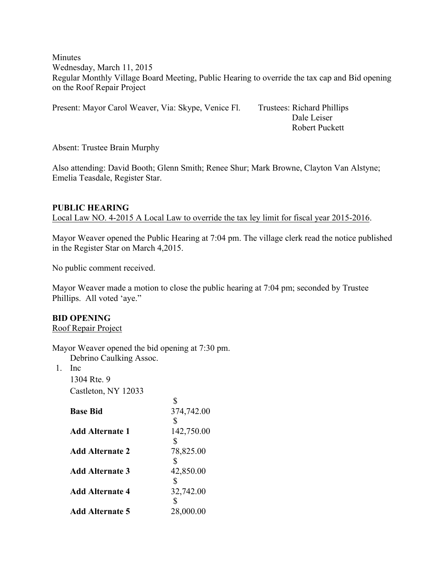**Minutes** Wednesday, March 11, 2015 Regular Monthly Village Board Meeting, Public Hearing to override the tax cap and Bid opening on the Roof Repair Project

Present: Mayor Carol Weaver, Via: Skype, Venice Fl. Trustees: Richard Phillips

 Dale Leiser Robert Puckett

Absent: Trustee Brain Murphy

Also attending: David Booth; Glenn Smith; Renee Shur; Mark Browne, Clayton Van Alstyne; Emelia Teasdale, Register Star.

## **PUBLIC HEARING**  Local Law NO. 4-2015 A Local Law to override the tax ley limit for fiscal year 2015-2016.

Mayor Weaver opened the Public Hearing at 7:04 pm. The village clerk read the notice published in the Register Star on March 4,2015.

No public comment received.

Mayor Weaver made a motion to close the public hearing at 7:04 pm; seconded by Trustee Phillips. All voted 'aye."

# **BID OPENING**

Roof Repair Project

Mayor Weaver opened the bid opening at 7:30 pm.

 $\ddot{\sigma}$ 

Debrino Caulking Assoc.

1. Inc

1304 Rte. 9 Castleton, NY 12033

|                        | D          |
|------------------------|------------|
| <b>Base Bid</b>        | 374,742.00 |
|                        | \$         |
| Add Alternate 1        | 142,750.00 |
|                        | \$         |
| <b>Add Alternate 2</b> | 78,825.00  |
|                        |            |
| <b>Add Alternate 3</b> | 42,850.00  |
|                        | \$         |
| <b>Add Alternate 4</b> | 32,742.00  |
|                        |            |
| <b>Add Alternate 5</b> | 28,000.00  |
|                        |            |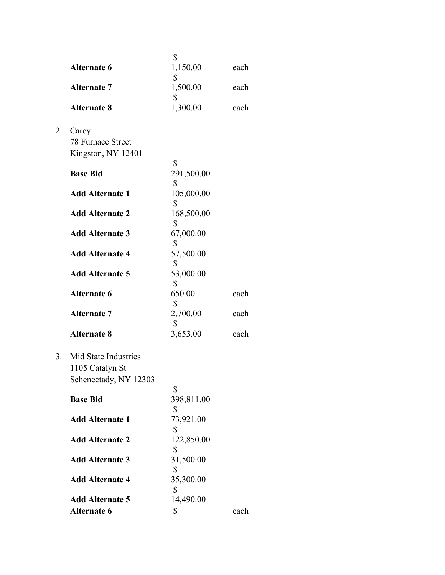|    |                                                                  | \$               |      |
|----|------------------------------------------------------------------|------------------|------|
|    | <b>Alternate 6</b>                                               | 1,150.00<br>\$   | each |
|    | <b>Alternate 7</b>                                               | 1,500.00         | each |
|    | <b>Alternate 8</b>                                               | \$<br>1,300.00   | each |
| 2. | Carey<br>78 Furnace Street<br>Kingston, NY 12401                 | \$               |      |
|    | <b>Base Bid</b>                                                  | 291,500.00<br>\$ |      |
|    | <b>Add Alternate 1</b>                                           | 105,000.00<br>\$ |      |
|    | <b>Add Alternate 2</b>                                           | 168,500.00<br>\$ |      |
|    | <b>Add Alternate 3</b>                                           | 67,000.00<br>\$  |      |
|    | <b>Add Alternate 4</b>                                           | 57,500.00        |      |
|    | <b>Add Alternate 5</b>                                           | \$<br>53,000.00  |      |
|    | <b>Alternate 6</b>                                               | \$<br>650.00     | each |
|    | <b>Alternate 7</b>                                               | \$<br>2,700.00   | each |
|    | <b>Alternate 8</b>                                               | \$<br>3,653.00   | each |
| 3. | Mid State Industries<br>1105 Catalyn St<br>Schenectady, NY 12303 |                  |      |
|    | <b>Base Bid</b>                                                  | \$<br>398,811.00 |      |
|    | <b>Add Alternate 1</b>                                           | \$<br>73,921.00  |      |
|    | <b>Add Alternate 2</b>                                           | \$<br>122,850.00 |      |
|    | <b>Add Alternate 3</b>                                           | \$<br>31,500.00  |      |
|    | <b>Add Alternate 4</b>                                           | \$<br>35,300.00  |      |
|    | <b>Add Alternate 5</b>                                           | \$<br>14,490.00  |      |
|    | <b>Alternate 6</b>                                               | \$               | each |
|    |                                                                  |                  |      |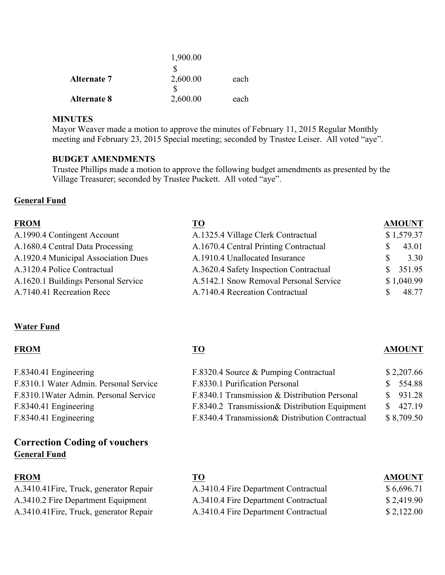|                    | 1,900.00 |      |
|--------------------|----------|------|
|                    |          |      |
| <b>Alternate 7</b> | 2,600.00 | each |
|                    |          |      |
| <b>Alternate 8</b> | 2,600.00 | each |

### **MINUTES**

Mayor Weaver made a motion to approve the minutes of February 11, 2015 Regular Monthly meeting and February 23, 2015 Special meeting; seconded by Trustee Leiser. All voted "aye".

### **BUDGET AMENDMENTS**

Trustee Phillips made a motion to approve the following budget amendments as presented by the Village Treasurer; seconded by Trustee Puckett. All voted "aye".

### **General Fund**

| <b>FROM</b>                         | <b>TO</b>                              |    | <b>AMOUNT</b> |
|-------------------------------------|----------------------------------------|----|---------------|
| A.1990.4 Contingent Account         | A.1325.4 Village Clerk Contractual     |    | \$1,579.37    |
| A.1680.4 Central Data Processing    | A.1670.4 Central Printing Contractual  | \$ | 43.01         |
| A.1920.4 Municipal Association Dues | A.1910.4 Unallocated Insurance         | S. | 3.30          |
| A.3120.4 Police Contractual         | A.3620.4 Safety Inspection Contractual | S. | 351.95        |
| A.1620.1 Buildings Personal Service | A.5142.1 Snow Removal Personal Service |    | \$1,040.99    |
| A.7140.41 Recreation Recc           | A.7140.4 Recreation Contractual        |    | 48.77         |

### **Water Fund**

| F.8320.4 Source & Pumping Contractual            | \$2,207.66             |
|--------------------------------------------------|------------------------|
| F.8330.1 Purification Personal                   | \$554.88               |
| F.8340.1 Transmission & Distribution Personal    | $\frac{\$}{931.28}$    |
| F.8340.2 Transmission & Distribution Equipment   | $\frac{\$}{20}$ 427.19 |
| F.8340.4 Transmission & Distribution Contractual | \$8,709.50             |
|                                                  |                        |

# **Correction Coding of vouchers General Fund**

| <b>FROM</b>                             | ТO                                   | <b>AMOUNT</b> |
|-----------------------------------------|--------------------------------------|---------------|
| A.3410.41 Fire, Truck, generator Repair | A.3410.4 Fire Department Contractual | \$6,696.71    |
| A.3410.2 Fire Department Equipment      | A.3410.4 Fire Department Contractual | \$2,419.90    |
| A.3410.41 Fire, Truck, generator Repair | A.3410.4 Fire Department Contractual | \$2,122.00    |

### **FROM TO AMOUNT**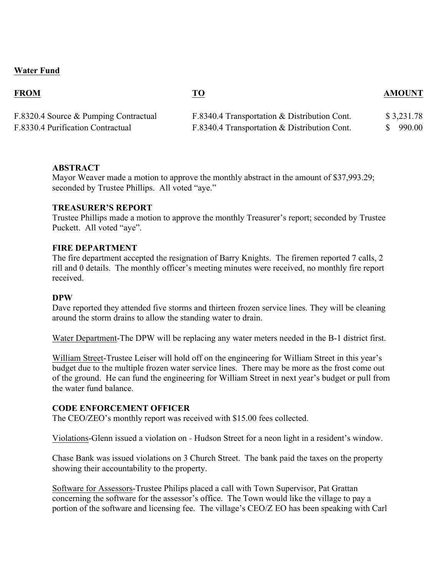## **Water Fund**

**FROM TO AMOUNT**

| F.8320.4 Source & Pumping Contractual | F.8340.4 Transportation & Distribution Cont. | \$3,231.78 |
|---------------------------------------|----------------------------------------------|------------|
| F.8330.4 Purification Contractual     | F.8340.4 Transportation & Distribution Cont. | \$990.00   |

### **ABSTRACT**

Mayor Weaver made a motion to approve the monthly abstract in the amount of \$37,993.29; seconded by Trustee Phillips. All voted "aye."

### **TREASURER'S REPORT**

Trustee Phillips made a motion to approve the monthly Treasurer's report; seconded by Trustee Puckett. All voted "aye".

### **FIRE DEPARTMENT**

The fire department accepted the resignation of Barry Knights. The firemen reported 7 calls, 2 rill and 0 details. The monthly officer's meeting minutes were received, no monthly fire report received.

#### **DPW**

Dave reported they attended five storms and thirteen frozen service lines. They will be cleaning around the storm drains to allow the standing water to drain.

Water Department-The DPW will be replacing any water meters needed in the B-1 district first.

William Street-Trustee Leiser will hold off on the engineering for William Street in this year's budget due to the multiple frozen water service lines. There may be more as the frost come out of the ground. He can fund the engineering for William Street in next year's budget or pull from the water fund balance.

#### **CODE ENFORCEMENT OFFICER**

The CEO/ZEO's monthly report was received with \$15.00 fees collected.

Violations-Glenn issued a violation on - Hudson Street for a neon light in a resident's window.

Chase Bank was issued violations on 3 Church Street. The bank paid the taxes on the property showing their accountability to the property.

Software for Assessors-Trustee Philips placed a call with Town Supervisor, Pat Grattan concerning the software for the assessor's office. The Town would like the village to pay a portion of the software and licensing fee. The village's CEO/Z EO has been speaking with Carl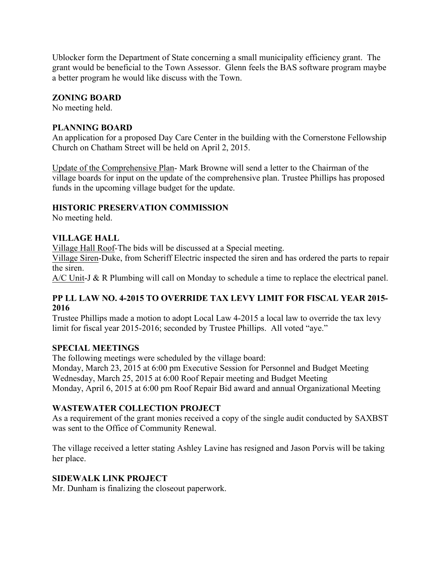Ublocker form the Department of State concerning a small municipality efficiency grant. The grant would be beneficial to the Town Assessor. Glenn feels the BAS software program maybe a better program he would like discuss with the Town.

## **ZONING BOARD**

No meeting held.

## **PLANNING BOARD**

An application for a proposed Day Care Center in the building with the Cornerstone Fellowship Church on Chatham Street will be held on April 2, 2015.

Update of the Comprehensive Plan- Mark Browne will send a letter to the Chairman of the village boards for input on the update of the comprehensive plan. Trustee Phillips has proposed funds in the upcoming village budget for the update.

## **HISTORIC PRESERVATION COMMISSION**

No meeting held.

## **VILLAGE HALL**

Village Hall Roof-The bids will be discussed at a Special meeting.

Village Siren-Duke, from Scheriff Electric inspected the siren and has ordered the parts to repair the siren.

A/C Unit-J & R Plumbing will call on Monday to schedule a time to replace the electrical panel.

## **PP LL LAW NO. 4-2015 TO OVERRIDE TAX LEVY LIMIT FOR FISCAL YEAR 2015- 2016**

Trustee Phillips made a motion to adopt Local Law 4-2015 a local law to override the tax levy limit for fiscal year 2015-2016; seconded by Trustee Phillips. All voted "aye."

## **SPECIAL MEETINGS**

The following meetings were scheduled by the village board: Monday, March 23, 2015 at 6:00 pm Executive Session for Personnel and Budget Meeting Wednesday, March 25, 2015 at 6:00 Roof Repair meeting and Budget Meeting Monday, April 6, 2015 at 6:00 pm Roof Repair Bid award and annual Organizational Meeting

## **WASTEWATER COLLECTION PROJECT**

As a requirement of the grant monies received a copy of the single audit conducted by SAXBST was sent to the Office of Community Renewal.

The village received a letter stating Ashley Lavine has resigned and Jason Porvis will be taking her place.

### **SIDEWALK LINK PROJECT**

Mr. Dunham is finalizing the closeout paperwork.